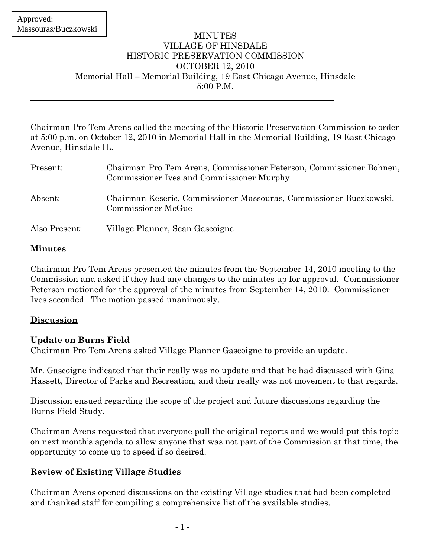#### **MINUTES** VILLAGE OF HINSDALE HISTORIC PRESERVATION COMMISSION OCTOBER 12, 2010 Memorial Hall – Memorial Building, 19 East Chicago Avenue, Hinsdale 5:00 P.M.

Chairman Pro Tem Arens called the meeting of the Historic Preservation Commission to order at 5:00 p.m. on October 12, 2010 in Memorial Hall in the Memorial Building, 19 East Chicago Avenue, Hinsdale IL.

| Present:      | Chairman Pro Tem Arens, Commissioner Peterson, Commissioner Bohnen,<br>Commissioner Ives and Commissioner Murphy |
|---------------|------------------------------------------------------------------------------------------------------------------|
| Absent:       | Chairman Keseric, Commissioner Massouras, Commissioner Buczkowski,<br>Commissioner McGue                         |
| Also Present: | Village Planner, Sean Gascoigne                                                                                  |

### **Minutes**

Chairman Pro Tem Arens presented the minutes from the September 14, 2010 meeting to the Commission and asked if they had any changes to the minutes up for approval. Commissioner Peterson motioned for the approval of the minutes from September 14, 2010. Commissioner Ives seconded. The motion passed unanimously.

## **Discussion**

## **Update on Burns Field**

Chairman Pro Tem Arens asked Village Planner Gascoigne to provide an update.

Mr. Gascoigne indicated that their really was no update and that he had discussed with Gina Hassett, Director of Parks and Recreation, and their really was not movement to that regards.

Discussion ensued regarding the scope of the project and future discussions regarding the Burns Field Study.

Chairman Arens requested that everyone pull the original reports and we would put this topic on next month's agenda to allow anyone that was not part of the Commission at that time, the opportunity to come up to speed if so desired.

## **Review of Existing Village Studies**

Chairman Arens opened discussions on the existing Village studies that had been completed and thanked staff for compiling a comprehensive list of the available studies.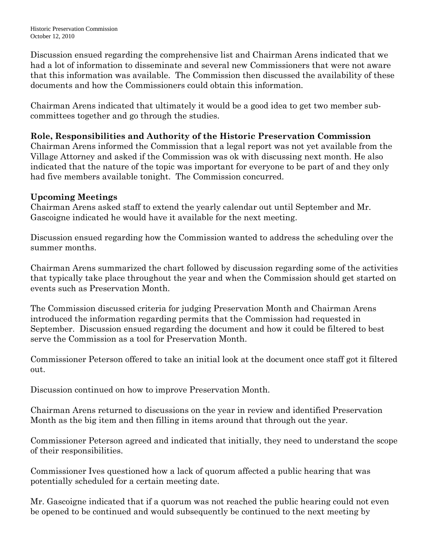Discussion ensued regarding the comprehensive list and Chairman Arens indicated that we had a lot of information to disseminate and several new Commissioners that were not aware that this information was available. The Commission then discussed the availability of these documents and how the Commissioners could obtain this information.

Chairman Arens indicated that ultimately it would be a good idea to get two member subcommittees together and go through the studies.

### **Role, Responsibilities and Authority of the Historic Preservation Commission**

Chairman Arens informed the Commission that a legal report was not yet available from the Village Attorney and asked if the Commission was ok with discussing next month. He also indicated that the nature of the topic was important for everyone to be part of and they only had five members available tonight. The Commission concurred.

### **Upcoming Meetings**

Chairman Arens asked staff to extend the yearly calendar out until September and Mr. Gascoigne indicated he would have it available for the next meeting.

Discussion ensued regarding how the Commission wanted to address the scheduling over the summer months.

Chairman Arens summarized the chart followed by discussion regarding some of the activities that typically take place throughout the year and when the Commission should get started on events such as Preservation Month.

The Commission discussed criteria for judging Preservation Month and Chairman Arens introduced the information regarding permits that the Commission had requested in September. Discussion ensued regarding the document and how it could be filtered to best serve the Commission as a tool for Preservation Month.

Commissioner Peterson offered to take an initial look at the document once staff got it filtered out.

Discussion continued on how to improve Preservation Month.

Chairman Arens returned to discussions on the year in review and identified Preservation Month as the big item and then filling in items around that through out the year.

Commissioner Peterson agreed and indicated that initially, they need to understand the scope of their responsibilities.

Commissioner Ives questioned how a lack of quorum affected a public hearing that was potentially scheduled for a certain meeting date.

Mr. Gascoigne indicated that if a quorum was not reached the public hearing could not even be opened to be continued and would subsequently be continued to the next meeting by